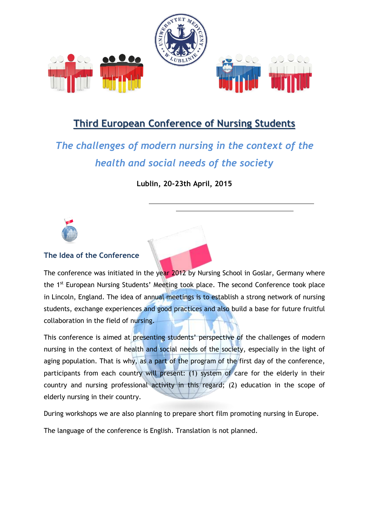

## **Third European Conference of Nursing Students**

# *The challenges of modern nursing in the context of the health and social needs of the society*

**Lublin, 20-23th April, 2015**



#### **The Idea of the Conference**

The conference was initiated in the year 2012 by Nursing School in Goslar, Germany where the 1<sup>st</sup> European Nursing Students' Meeting took place. The second Conference took place in Lincoln, England. The idea of annual meetings is to establish a strong network of nursing students, exchange experiences and good practices and also build a base for future fruitful collaboration in the field of nursing.

This conference is aimed at presenting students' perspective of the challenges of modern nursing in the context of health and social needs of the society, especially in the light of aging population. That is why, as a part of the program of the first day of the conference, participants from each country will present: (1) system of care for the elderly in their country and nursing professional activity in this regard; (2) education in the scope of elderly nursing in their country.

During workshops we are also planning to prepare short film promoting nursing in Europe.

The language of the conference is English. Translation is not planned.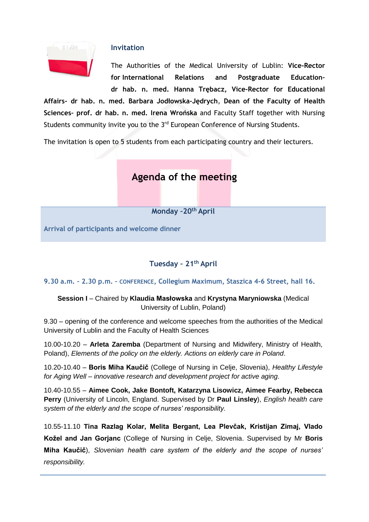

#### **Invitation**

The Authorities of the Medical University of Lublin: **Vice-Rector for International Relations and Postgraduate Education– dr hab. n. med. Hanna Trębacz, Vice-Rector for Educational** 

**Affairs- dr hab. n. med. Barbara Jodłowska-Jędrych**, **Dean of the Faculty of Health Sciences– prof. dr hab. n. med. Irena Wrońska** and Faculty Staff together with Nursing Students community invite you to the 3<sup>rd</sup> European Conference of Nursing Students.

The invitation is open to 5 students from each participating country and their lecturers.

## **Agenda of the meeting**

**Monday –20th April**

**Arrival of participants and welcome dinner**

#### **Tuesday – 21th April**

**9.30 a.m. – 2.30 p.m. – CONFERENCE, Collegium Maximum, Staszica 4-6 Street, hall 16.**

#### **Session I** – Chaired by **Klaudia Masłowska** and **Krystyna Maryniowska** (Medical University of Lublin, Poland)

9.30 – opening of the conference and welcome speeches from the authorities of the Medical University of Lublin and the Faculty of Health Sciences

10.00-10.20 – **Arleta Zaremba** (Department of Nursing and Midwifery, Ministry of Health, Poland), *Elements of the policy on the elderly. Actions on elderly care in Poland*.

10.20-10.40 – **Boris Miha Kaučič** (College of Nursing in Celje, Slovenia), *Healthy Lifestyle for Aging Well – innovative research and development project for active aging*.

10.40-10.55 – **Aimee Cook, Jake Bontoft, Katarzyna Lisowicz, Aimee Fearby, Rebecca Perry** (University of Lincoln, England. Supervised by Dr **Paul Linsley**), *English health care system of the elderly and the scope of nurses' responsibility.*

10.55-11.10 **Tina Razlag Kolar, Melita Bergant, Lea Plevčak, Kristijan Zimaj, Vlado Kožel and Jan Gorjanc** (College of Nursing in Celje, Slovenia. Supervised by Mr **Boris Miha Kaučič**), *Slovenian health care system of the elderly and the scope of nurses' responsibility.*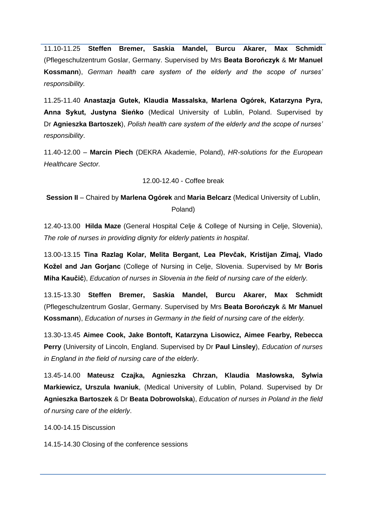11.10-11.25 **Steffen Bremer, Saskia Mandel, Burcu Akarer, Max Schmidt** (Pflegeschulzentrum Goslar, Germany. Supervised by Mrs **Beata Borończyk** & **Mr Manuel Kossmann**), *German health care system of the elderly and the scope of nurses' responsibility.*

11.25-11.40 **Anastazja Gutek, Klaudia Massalska, Marlena Ogórek, Katarzyna Pyra, Anna Sykut, Justyna Sieńko** (Medical University of Lublin, Poland. Supervised by Dr **Agnieszka Bartoszek**), *Polish health care system of the elderly and the scope of nurses' responsibility*.

11.40-12.00 – **Marcin Piech** (DEKRA Akademie, Poland), *HR-solutions for the European Healthcare Sector.*

12.00-12.40 - Coffee break

**Session II** – Chaired by **Marlena Ogórek** and **Maria Belcarz** (Medical University of Lublin, Poland)

12.40-13.00 **Hilda Maze** (General Hospital Celje & College of Nursing in Celje, Slovenia), *The role of nurses in providing dignity for elderly patients in hospital*.

13.00-13.15 **Tina Razlag Kolar, Melita Bergant, Lea Plevčak, Kristijan Zimaj, Vlado Kožel and Jan Gorjanc** (College of Nursing in Celje, Slovenia. Supervised by Mr **Boris Miha Kaučič**), *Education of nurses in Slovenia in the field of nursing care of the elderly.*

13.15-13.30 **Steffen Bremer, Saskia Mandel, Burcu Akarer, Max Schmidt** (Pflegeschulzentrum Goslar, Germany. Supervised by Mrs **Beata Borończyk** & **Mr Manuel Kossmann**), *Education of nurses in Germany in the field of nursing care of the elderly.*

13.30-13.45 **Aimee Cook, Jake Bontoft, Katarzyna Lisowicz, Aimee Fearby, Rebecca Perry** (University of Lincoln, England. Supervised by Dr **Paul Linsley**), *Education of nurses in England in the field of nursing care of the elderly*.

13.45-14.00 **Mateusz Czajka, Agnieszka Chrzan, Klaudia Masłowska, Sylwia Markiewicz, Urszula Iwaniuk**, (Medical University of Lublin, Poland. Supervised by Dr **Agnieszka Bartoszek** & Dr **Beata Dobrowolska**), *Education of nurses in Poland in the field of nursing care of the elderly*.

14.00-14.15 Discussion

14.15-14.30 Closing of the conference sessions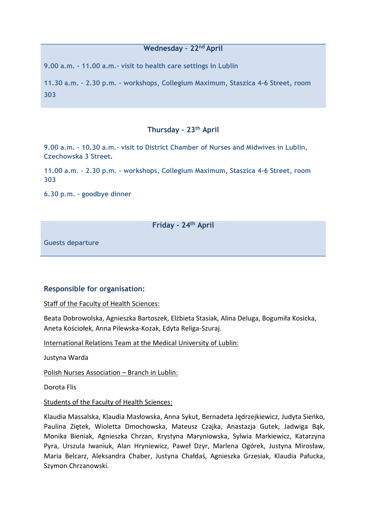#### **Wednesday – 22nd April**

**9.00 a.m. – 11.00 a.m.– visit to health care settings in Lublin**

**11.30 a.m. – 2.30 p.m. – workshops, Collegium Maximum, Staszica 4-6 Street, room 303**

#### **Thursday – 23th April**

**9.00 a.m. – 10.30 a.m.– visit to District Chamber of Nurses and Midwives in Lublin, Czechowska 3 Street.** 

**11.00 a.m. – 2.30 p.m. – workshops, Collegium Maximum, Staszica 4-6 Street, room 303**

**6.30 p.m. – goodbye dinner**

#### **Friday - 24th April**

**Guests departure**

#### **Responsible for organisation:**

Staff of the Faculty of Health Sciences:

Beata Dobrowolska, Agnieszka Bartoszek, Elżbieta Stasiak, Alina Deluga, Bogumiła Kosicka, Aneta Kościołek, Anna Pilewska-Kozak, Edyta Religa-Szuraj.

International Relations Team at the Medical University of Lublin:

Justyna Warda

Polish Nurses Association – Branch in Lublin:

Dorota Flis

Students of the Faculty of Health Sciences:

Klaudia Massalska, Klaudia Masłowska, Anna Sykut, Bernadeta Jędrzejkiewicz, Judyta Sieńko, Paulina Ziętek, Wioletta Dmochowska, Mateusz Czajka, Anastazja Gutek, Jadwiga Bąk, Monika Bieniak, Agnieszka Chrzan, Krystyna Maryniowska, Sylwia Markiewicz, Katarzyna Pyra, Urszula Iwaniuk, Alan Hryniewicz, Paweł Dzyr, Marlena Ogórek, Justyna Mirosław, Maria Belcarz, Aleksandra Chaber, Justyna Chałdaś, Agnieszka Grzesiak, Klaudia Pałucka, Szymon Chrzanowski.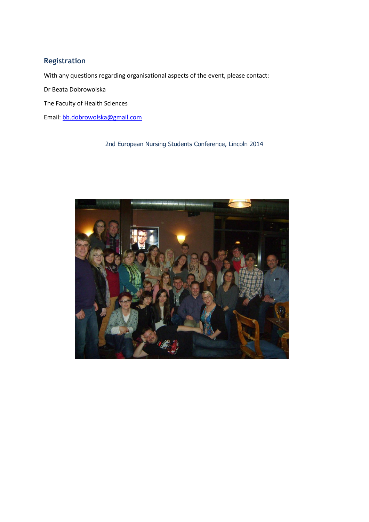### **Registration**

With any questions regarding organisational aspects of the event, please contact:

Dr Beata Dobrowolska

The Faculty of Health Sciences

Email: [bb.dobrowolska@gmail.com](mailto:bb.dobrowolska@gmail.com)

#### 2nd European Nursing Students Conference, Lincoln 2014